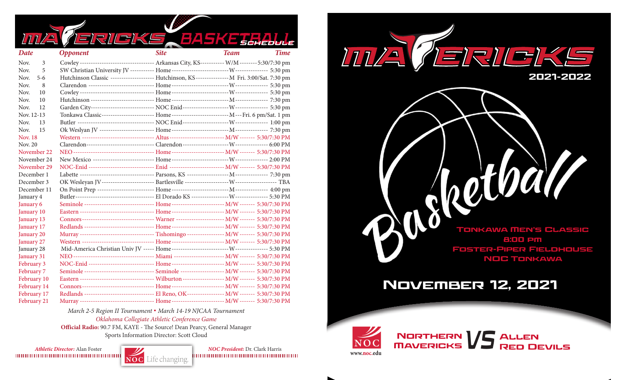|                   | 113135<br><b>R</b>                                                                                |             | <b>BASKETHALLE</b>         |
|-------------------|---------------------------------------------------------------------------------------------------|-------------|----------------------------|
| Date              | <b>Opponent</b>                                                                                   | <b>Site</b> | <b>Time</b><br><b>Team</b> |
| Nov.<br>3         | Cowley ---------------------------------- Arkansas City, KS----------- W/M -------- 5:30/7:30 pm  |             |                            |
| Nov.<br>5         |                                                                                                   |             |                            |
| Nov.<br>$5-6$     | Hutchinson Classic ------------------- Hutchinson, KS --------------- M Fri. 3:00/Sat. 7:30 pm    |             |                            |
| Nov.<br>8         |                                                                                                   |             |                            |
| Nov.<br>10        |                                                                                                   |             |                            |
| Nov.<br>10        |                                                                                                   |             |                            |
| Nov.<br>12        |                                                                                                   |             |                            |
| Nov. 12-13        | Tonkawa Classic----------------------- Home---------------------------- M---Fri. 6 pm/Sat. 1 pm   |             |                            |
| Nov.<br>13        |                                                                                                   |             |                            |
| Nov.<br>15        |                                                                                                   |             |                            |
| <b>Nov. 18</b>    | Western --------------------------------- Altus ------------------------ M/W ------- 5:30/7:30 PM |             |                            |
| Nov. 20           |                                                                                                   |             |                            |
| November 22       |                                                                                                   |             |                            |
| November 24       |                                                                                                   |             |                            |
| November 29       | NOC-Enid ----------------------------- Enid ------------------------- M/W ------- 5:30/7:30 PM    |             |                            |
| December 1        |                                                                                                   |             |                            |
| December 3        |                                                                                                   |             |                            |
| December 11       |                                                                                                   |             |                            |
| January 4         |                                                                                                   |             |                            |
| January 6         | Seminole -------------------------------- Home ------------------------- M/W ------- 5:30/7:30 PM |             |                            |
| January 10        | Eastern ---------------------------------- Home ----------------------- M/W ------- 5:30/7:30 PM  |             |                            |
| January 13        | Connors--------------------------------- Warner --------------------- M/W ------- 5:30/7:30 PM    |             |                            |
| January 17        | Redlands -------------------------------- Home ------------------------ M/W ------- 5:30/7:30 PM  |             |                            |
| January 20        | Murray ---------------------------------- Tishomingo ---------------- M/W ------- 5:30/7:30 PM    |             |                            |
| January 27        | Western -------------------------------- Home ------------------------ M/W ------- 5:30/7:30 PM   |             |                            |
| January 28        |                                                                                                   |             |                            |
| January 31        |                                                                                                   |             |                            |
| February 3        | NOC-Enid ----------------------------- Home ------------------------- M/W ------- 5:30/7:30 PM    |             |                            |
| <b>February 7</b> | Seminole -------------------------------- Seminole -------------------- M/W ------- 5:30/7:30 PM  |             |                            |
| February 10       | Eastern ---------------------------------- Wilburton ------------------ M/W ------- 5:30/7:30 PM  |             |                            |
| February 14       |                                                                                                   |             |                            |
| February 17       | Redlands ------------------------------- El Reno, OK---------------- M/W ------- 5:30/7:30 PM     |             |                            |
| February 21       | Murray ---------------------------------- Home ------------------------ M/W ------- 5:30/7:30 PM  |             |                            |

*March 2-5 Region II Tournament* **.** *March 14-19 NJCAA Tournament Oklahoma Collegiate Athletic Conference Game*

**Official Radio:** 90.7 FM, KAYE - The Source! Dean Pearcy, General Manager Sports Information Director: Scott Cloud

*Athletic Director:* Alan Foster *NOC President:* Dr. Clark Harris